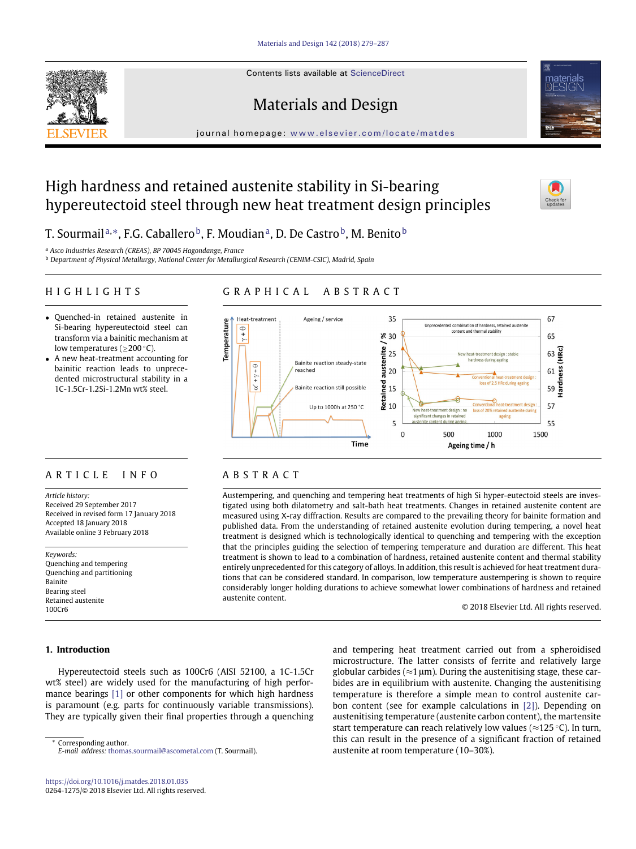Contents lists available at [ScienceDirect](http://www.ScienceDirect.com/)





# Materials and Design

journal homepage: [www.elsevier.com/locate/matdes](http://www.elsevier.com/locate/matdes)

## High hardness and retained austenite stability in Si-bearing hypereutectoid steel through new heat treatment design principles



T. Sourmail[a,](#page-0-0) $^*,$  $^*,$  F.G. Caballero $^{\rm b}$ , F. Moudia[na,](#page-0-0) D. De Castro $^{\rm b}$ , M. Benito $^{\rm b}$ 

<span id="page-0-0"></span><sup>a</sup> *Asco Industries Research (CREAS), BP 70045 Hagondange, France*

<span id="page-0-2"></span><sup>b</sup> *Department of Physical Metallurgy, National Center for Metallurgical Research (CENIM-CSIC), Madrid, Spain*

### HIGHLIGHTS

## GRAPHICAL ABSTRACT

- Quenched-in retained austenite in Si-bearing hypereutectoid steel can transform via a bainitic mechanism at low temperatures ( $\geq$ 200 °C).
- A new heat-treatment accounting for bainitic reaction leads to unprecedented microstructural stability in a 1C-1.5Cr-1.2Si-1.2Mn wt% steel.

## ARTICLE INFO

*Article history:* Received 29 September 2017 Received in revised form 17 January 2018 Accepted 18 January 2018 Available online 3 February 2018

*Keywords:* Quenching and tempering Quenching and partitioning Bainite Bearing steel Retained austenite 100Cr6

#### **1. Introduction**

Hypereutectoid steels such as 100Cr6 (AISI 52100, a 1C-1.5Cr wt% steel) are widely used for the manufacturing of high performance bearings [\[1\]](#page--1-0) or other components for which high hardness is paramount (e.g. parts for continuously variable transmissions). They are typically given their final properties through a quenching

<span id="page-0-1"></span>Corresponding author. *E-mail address:* [thomas.sourmail@ascometal.com](mailto:thomas.sourmail@ascometal.com) (T. Sourmail).



## ABSTRACT

Austempering, and quenching and tempering heat treatments of high Si hyper-eutectoid steels are investigated using both dilatometry and salt-bath heat treatments. Changes in retained austenite content are measured using X-ray diffraction. Results are compared to the prevailing theory for bainite formation and published data. From the understanding of retained austenite evolution during tempering, a novel heat treatment is designed which is technologically identical to quenching and tempering with the exception that the principles guiding the selection of tempering temperature and duration are different. This heat treatment is shown to lead to a combination of hardness, retained austenite content and thermal stability entirely unprecedented for this category of alloys. In addition, this result is achieved for heat treatment durations that can be considered standard. In comparison, low temperature austempering is shown to require considerably longer holding durations to achieve somewhat lower combinations of hardness and retained austenite content.

© 2018 Elsevier Ltd. All rights reserved.

and tempering heat treatment carried out from a spheroidised microstructure. The latter consists of ferrite and relatively large globular carbides ( $\approx$ 1 µm). During the austenitising stage, these carbides are in equilibrium with austenite. Changing the austenitising temperature is therefore a simple mean to control austenite carbon content (see for example calculations in [\[2\]\)](#page--1-1). Depending on austenitising temperature (austenite carbon content), the martensite start temperature can reach relatively low values ( $\approx$ 125 °C). In turn, this can result in the presence of a significant fraction of retained austenite at room temperature (10–30%).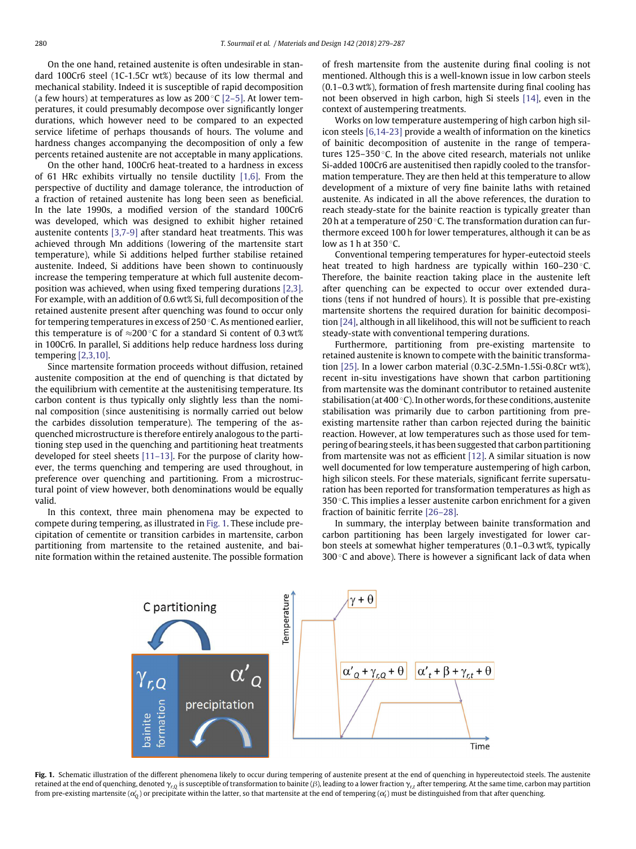On the one hand, retained austenite is often undesirable in standard 100Cr6 steel (1C-1.5Cr wt%) because of its low thermal and mechanical stability. Indeed it is susceptible of rapid decomposition (a few hours) at temperatures as low as  $200^{\circ}$ C [\[2–5\].](#page--1-1) At lower temperatures, it could presumably decompose over significantly longer durations, which however need to be compared to an expected service lifetime of perhaps thousands of hours. The volume and hardness changes accompanying the decomposition of only a few percents retained austenite are not acceptable in many applications.

On the other hand, 100Cr6 heat-treated to a hardness in excess of 61 HRc exhibits virtually no tensile ductility [\[1,6\].](#page--1-0) From the perspective of ductility and damage tolerance, the introduction of a fraction of retained austenite has long been seen as beneficial. In the late 1990s, a modified version of the standard 100Cr6 was developed, which was designed to exhibit higher retained austenite contents [\[3,7-9\]](#page--1-2) after standard heat treatments. This was achieved through Mn additions (lowering of the martensite start temperature), while Si additions helped further stabilise retained austenite. Indeed, Si additions have been shown to continuously increase the tempering temperature at which full austenite decomposition was achieved, when using fixed tempering durations [\[2,3\].](#page--1-1) For example, with an addition of 0.6 wt% Si, full decomposition of the retained austenite present after quenching was found to occur only for tempering temperatures in excess of 250 ◦C. As mentioned earlier, this temperature is of  $\approx$ 200 °C for a standard Si content of 0.3 wt% in 100Cr6. In parallel, Si additions help reduce hardness loss during tempering [\[2,3,10\].](#page--1-1)

Since martensite formation proceeds without diffusion, retained austenite composition at the end of quenching is that dictated by the equilibrium with cementite at the austenitising temperature. Its carbon content is thus typically only slightly less than the nominal composition (since austenitising is normally carried out below the carbides dissolution temperature). The tempering of the asquenched microstructure is therefore entirely analogous to the partitioning step used in the quenching and partitioning heat treatments developed for steel sheets [\[11–13\].](#page--1-3) For the purpose of clarity however, the terms quenching and tempering are used throughout, in preference over quenching and partitioning. From a microstructural point of view however, both denominations would be equally valid.

In this context, three main phenomena may be expected to compete during tempering, as illustrated in [Fig. 1.](#page-1-0) These include precipitation of cementite or transition carbides in martensite, carbon partitioning from martensite to the retained austenite, and bainite formation within the retained austenite. The possible formation of fresh martensite from the austenite during final cooling is not mentioned. Although this is a well-known issue in low carbon steels (0.1–0.3 wt%), formation of fresh martensite during final cooling has not been observed in high carbon, high Si steels [\[14\],](#page--1-4) even in the context of austempering treatments.

Works on low temperature austempering of high carbon high silicon steels [\[6,14-23\]](#page--1-5) provide a wealth of information on the kinetics of bainitic decomposition of austenite in the range of temperatures 125–350 ◦C. In the above cited research, materials not unlike Si-added 100Cr6 are austenitised then rapidly cooled to the transformation temperature. They are then held at this temperature to allow development of a mixture of very fine bainite laths with retained austenite. As indicated in all the above references, the duration to reach steady-state for the bainite reaction is typically greater than 20 h at a temperature of 250 $\degree$ C. The transformation duration can furthermore exceed 100 h for lower temperatures, although it can be as low as 1 h at  $350^{\circ}$ C.

Conventional tempering temperatures for hyper-eutectoid steels heat treated to high hardness are typically within 160–230 °C. Therefore, the bainite reaction taking place in the austenite left after quenching can be expected to occur over extended durations (tens if not hundred of hours). It is possible that pre-existing martensite shortens the required duration for bainitic decomposition [\[24\],](#page--1-6) although in all likelihood, this will not be sufficient to reach steady-state with conventional tempering durations.

Furthermore, partitioning from pre-existing martensite to retained austenite is known to compete with the bainitic transformation [\[25\].](#page--1-7) In a lower carbon material (0.3C-2.5Mn-1.5Si-0.8Cr wt%), recent in-situ investigations have shown that carbon partitioning from martensite was the dominant contributor to retained austenite stabilisation (at 400  $^{\circ}$ C). In other words, for these conditions, austenite stabilisation was primarily due to carbon partitioning from preexisting martensite rather than carbon rejected during the bainitic reaction. However, at low temperatures such as those used for tempering of bearing steels, it has been suggested that carbon partitioning from martensite was not as efficient [\[12\].](#page--1-8) A similar situation is now well documented for low temperature austempering of high carbon, high silicon steels. For these materials, significant ferrite supersaturation has been reported for transformation temperatures as high as 350 $\degree$ C. This implies a lesser austenite carbon enrichment for a given fraction of bainitic ferrite [\[26–28\].](#page--1-9)

In summary, the interplay between bainite transformation and carbon partitioning has been largely investigated for lower carbon steels at somewhat higher temperatures (0.1–0.3 wt%, typically 300 $\degree$ C and above). There is however a significant lack of data when



<span id="page-1-0"></span>Fig. 1. Schematic illustration of the different phenomena likely to occur during tempering of austenite present at the end of quenching in hypereutectoid steels. The austenite retained at the end of quenching, denoted  $\gamma_{r,0}$  is susceptible of transformation to bainite ( $\beta$ ), leading to a lower fraction  $\gamma_{r,t}$  after tempering. At the same time, carbon may partition from pre-existing martensite ( $\alpha_{\rm Q}'$ ) or precipitate within the latter, so that martensite at the end of tempering ( $\alpha_{\rm f}'$ ) must be distinguished from that after quenching